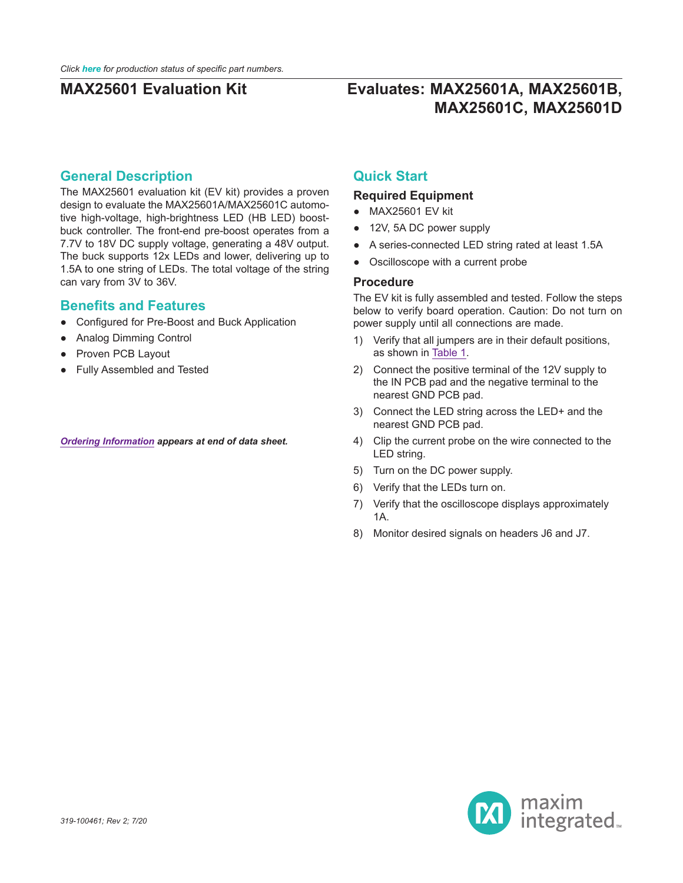# **Evaluates: MAX25601A, MAX25601B, MAX25601C, MAX25601D**

### **General Description**

The MAX25601 evaluation kit (EV kit) provides a proven design to evaluate the MAX25601A/MAX25601C automotive high-voltage, high-brightness LED (HB LED) boostbuck controller. The front-end pre-boost operates from a 7.7V to 18V DC supply voltage, generating a 48V output. The buck supports 12x LEDs and lower, delivering up to 1.5A to one string of LEDs. The total voltage of the string can vary from 3V to 36V.

### **Benefits and Features**

- Configured for Pre-Boost and Buck Application
- Analog Dimming Control
- Proven PCB Layout
- Fully Assembled and Tested

#### *[Ordering Information](#page-2-0) appears at end of data sheet.*

### **Quick Start**

#### **Required Equipment**

- MAX25601 EV kit
- 12V, 5A DC power supply
- A series-connected LED string rated at least 1.5A
- Oscilloscope with a current probe

#### **Procedure**

The EV kit is fully assembled and tested. Follow the steps below to verify board operation. Caution: Do not turn on power supply until all connections are made.

- 1) Verify that all jumpers are in their default positions, as shown in [Table 1](#page-1-0).
- 2) Connect the positive terminal of the 12V supply to the IN PCB pad and the negative terminal to the nearest GND PCB pad.
- 3) Connect the LED string across the LED+ and the nearest GND PCB pad.
- 4) Clip the current probe on the wire connected to the LED string.
- 5) Turn on the DC power supply.
- 6) Verify that the LEDs turn on.
- 7) Verify that the oscilloscope displays approximately 1A.
- 8) Monitor desired signals on headers J6 and J7.

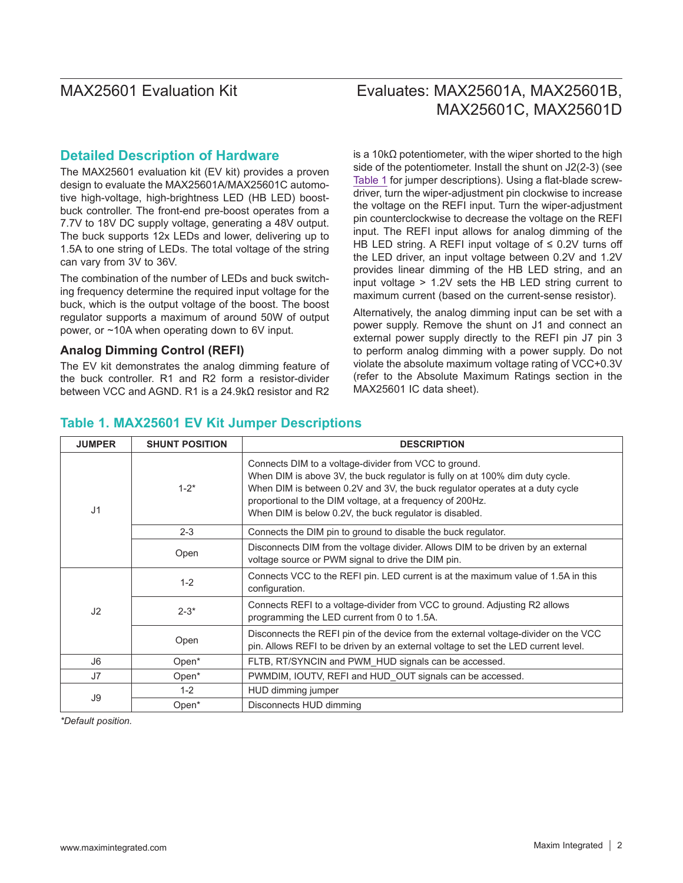# Evaluates: MAX25601A, MAX25601B, MAX25601C, MAX25601D

### **Detailed Description of Hardware**

The MAX25601 evaluation kit (EV kit) provides a proven design to evaluate the MAX25601A/MAX25601C automotive high-voltage, high-brightness LED (HB LED) boostbuck controller. The front-end pre-boost operates from a 7.7V to 18V DC supply voltage, generating a 48V output. The buck supports 12x LEDs and lower, delivering up to 1.5A to one string of LEDs. The total voltage of the string can vary from 3V to 36V.

The combination of the number of LEDs and buck switching frequency determine the required input voltage for the buck, which is the output voltage of the boost. The boost regulator supports a maximum of around 50W of output power, or ~10A when operating down to 6V input.

#### **Analog Dimming Control (REFI)**

The EV kit demonstrates the analog dimming feature of the buck controller. R1 and R2 form a resistor-divider between VCC and AGND. R1 is a 24.9kΩ resistor and R2 is a 10kΩ potentiometer, with the wiper shorted to the high side of the potentiometer. Install the shunt on J2(2-3) (see [Table 1](#page-1-0) for jumper descriptions). Using a flat-blade screwdriver, turn the wiper-adjustment pin clockwise to increase the voltage on the REFI input. Turn the wiper-adjustment pin counterclockwise to decrease the voltage on the REFI input. The REFI input allows for analog dimming of the HB LED string. A REFI input voltage of  $\leq$  0.2V turns off the LED driver, an input voltage between 0.2V and 1.2V provides linear dimming of the HB LED string, and an input voltage > 1.2V sets the HB LED string current to maximum current (based on the current-sense resistor).

Alternatively, the analog dimming input can be set with a power supply. Remove the shunt on J1 and connect an external power supply directly to the REFI pin J7 pin 3 to perform analog dimming with a power supply. Do not violate the absolute maximum voltage rating of VCC+0.3V (refer to the Absolute Maximum Ratings section in the MAX25601 IC data sheet).

#### **JUMPER SHUNT POSITION DESCRIPTION** J1  $1 - 2^*$ Connects DIM to a voltage-divider from VCC to ground. When DIM is above 3V, the buck regulator is fully on at 100% dim duty cycle. When DIM is between 0.2V and 3V, the buck regulator operates at a duty cycle proportional to the DIM voltage, at a frequency of 200Hz. When DIM is below 0.2V, the buck regulator is disabled. 2-3 Connects the DIM pin to ground to disable the buck regulator. Open Disconnects DIM from the voltage divider. Allows DIM to be driven by an external voltage source or PWM signal to drive the DIM pin. J2 1-2 Connects VCC to the REFI pin. LED current is at the maximum value of 1.5A in this configuration. 2-3<sup>\*</sup> Connects REFI to a voltage-divider from VCC to ground. Adjusting R2 allows programming the LED current from 0 to 1.5A. Open Disconnects the REFI pin of the device from the external voltage-divider on the VCC pin. Allows REFI to be driven by an external voltage to set the LED current level. J6 Open\* FLTB, RT/SYNCIN and PWM HUD signals can be accessed. J7  $\vert$  Open\* PWMDIM, IOUTV, REFI and HUD\_OUT signals can be accessed. J9 1-2 HUD dimming jumper Open\* Disconnects HUD dimming

### <span id="page-1-0"></span>**Table 1. MAX25601 EV Kit Jumper Descriptions**

*\*Default position.*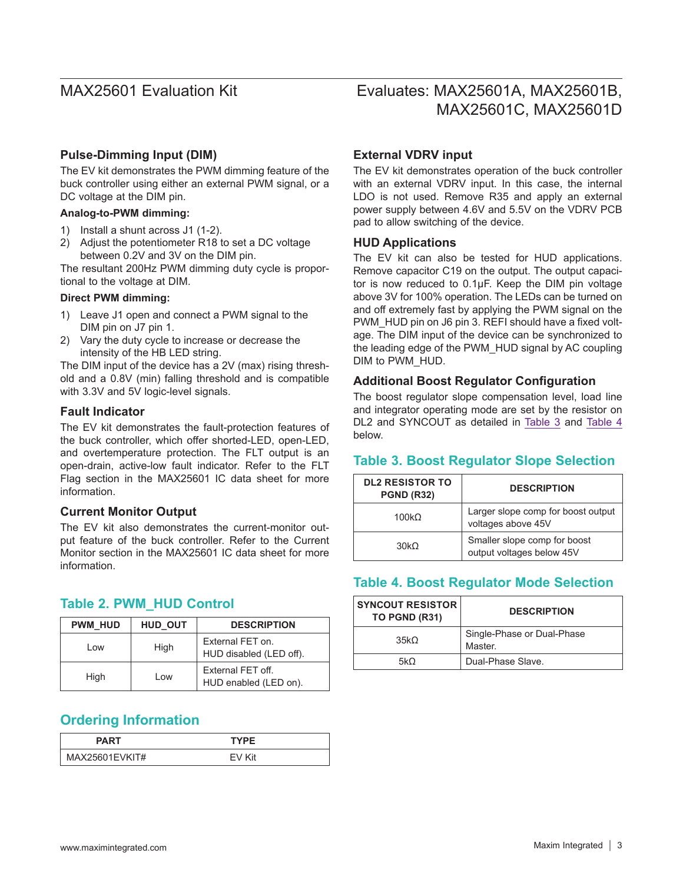#### **Pulse-Dimming Input (DIM)**

The EV kit demonstrates the PWM dimming feature of the buck controller using either an external PWM signal, or a DC voltage at the DIM pin.

#### **Analog-to-PWM dimming:**

- 1) Install a shunt across J1 (1-2).
- 2) Adjust the potentiometer R18 to set a DC voltage between 0.2V and 3V on the DIM pin.

The resultant 200Hz PWM dimming duty cycle is proportional to the voltage at DIM.

#### **Direct PWM dimming:**

- 1) Leave J1 open and connect a PWM signal to the DIM pin on J7 pin 1.
- 2) Vary the duty cycle to increase or decrease the intensity of the HB LED string.

The DIM input of the device has a 2V (max) rising threshold and a 0.8V (min) falling threshold and is compatible with 3.3V and 5V logic-level signals.

#### **Fault Indicator**

The EV kit demonstrates the fault-protection features of the buck controller, which offer shorted-LED, open-LED, and overtemperature protection. The FLT output is an open-drain, active-low fault indicator. Refer to the FLT Flag section in the MAX25601 IC data sheet for more information.

#### **Current Monitor Output**

The EV kit also demonstrates the current-monitor output feature of the buck controller. Refer to the Current Monitor section in the MAX25601 IC data sheet for more information.

#### **Table 2. PWM\_HUD Control**

| <b>PWM HUD</b> | HUD OUT | <b>DESCRIPTION</b>                          |  |  |
|----------------|---------|---------------------------------------------|--|--|
| l ow           | High    | External FET on.<br>HUD disabled (LED off). |  |  |
| High           | l ow    | External FET off.<br>HUD enabled (LED on).  |  |  |

## <span id="page-2-0"></span>**Ordering Information**

| PART           | <b>TYPE</b> |
|----------------|-------------|
| MAX25601EVKIT# | ≮it         |

# Evaluates: MAX25601A, MAX25601B, MAX25601C, MAX25601D

#### **External VDRV input**

The EV kit demonstrates operation of the buck controller with an external VDRV input. In this case, the internal LDO is not used. Remove R35 and apply an external power supply between 4.6V and 5.5V on the VDRV PCB pad to allow switching of the device.

#### **HUD Applications**

The EV kit can also be tested for HUD applications. Remove capacitor C19 on the output. The output capacitor is now reduced to 0.1µF. Keep the DIM pin voltage above 3V for 100% operation. The LEDs can be turned on and off extremely fast by applying the PWM signal on the PWM\_HUD pin on J6 pin 3. REFI should have a fixed voltage. The DIM input of the device can be synchronized to the leading edge of the PWM\_HUD signal by AC coupling DIM to PWM\_HUD.

#### **Additional Boost Regulator Configuration**

The boost regulator slope compensation level, load line and integrator operating mode are set by the resistor on DL2 and SYNCOUT as detailed in [Table 3](#page-2-1) and [Table 4](#page-2-2) below.

### <span id="page-2-1"></span>**Table 3. Boost Regulator Slope Selection**

| <b>DL2 RESISTOR TO</b><br><b>PGND (R32)</b> | <b>DESCRIPTION</b>                                        |  |  |
|---------------------------------------------|-----------------------------------------------------------|--|--|
| $100k\Omega$                                | Larger slope comp for boost output<br>voltages above 45V  |  |  |
| 30k <sub>O</sub>                            | Smaller slope comp for boost<br>output voltages below 45V |  |  |

## <span id="page-2-2"></span>**Table 4. Boost Regulator Mode Selection**

| <b>SYNCOUT RESISTOR</b><br>TO PGND (R31) | <b>DESCRIPTION</b>                    |  |  |
|------------------------------------------|---------------------------------------|--|--|
| 35kO                                     | Single-Phase or Dual-Phase<br>Master. |  |  |
| 5kO                                      | Dual-Phase Slave.                     |  |  |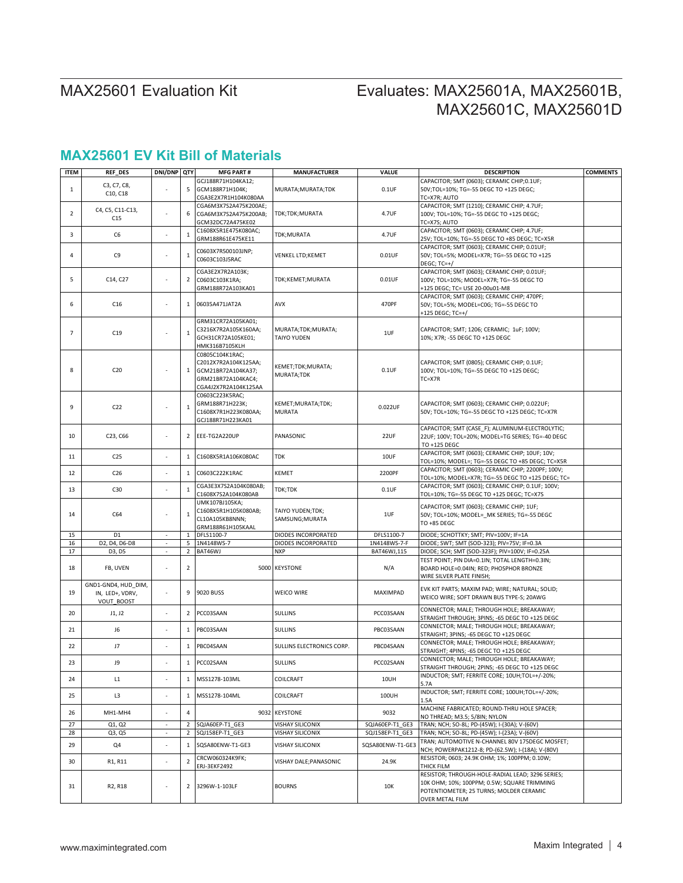# Evaluates: MAX25601A, MAX25601B, MAX25601C, MAX25601D

## **MAX25601 EV Kit Bill of Materials**

| <b>ITEM</b>    | <b>REF_DES</b>                   | DNI/DNP QTY              |                | <b>MFG PART#</b>      | <b>MANUFACTURER</b>       | VALUE            | <b>DESCRIPTION</b>                                 | <b>COMMENTS</b> |
|----------------|----------------------------------|--------------------------|----------------|-----------------------|---------------------------|------------------|----------------------------------------------------|-----------------|
|                |                                  |                          |                | GCJ188R71H104KA12;    |                           |                  | CAPACITOR; SMT (0603); CERAMIC CHIP;0.1UF;         |                 |
| $\mathbf{1}$   | C3, C7, C8,                      |                          | 5              | GCM188R71H104K;       | MURATA; MURATA; TDK       | $0.1$ UF         | 50V;TOL=10%; TG=-55 DEGC TO +125 DEGC;             |                 |
|                | C10, C18                         |                          |                | CGA3E2X7R1H104K080AA  |                           |                  | TC=X7R; AUTO                                       |                 |
|                |                                  |                          |                | CGA6M3X7S2A475K200AE; |                           |                  | CAPACITOR; SMT (1210); CERAMIC CHIP; 4.7UF;        |                 |
| $\overline{2}$ | C4, C5, C11-C13,                 | $\overline{a}$           | 6              | CGA6M3X7S2A475K200AB; | TDK;TDK;MURATA            | 4.7UF            | 100V; TOL=10%; TG=-55 DEGC TO +125 DEGC;           |                 |
|                | C15                              |                          |                | GCM32DC72A475KE02     |                           |                  | TC=X7S; AUTO                                       |                 |
|                |                                  |                          |                | C1608X5R1E475K080AC;  |                           |                  | CAPACITOR; SMT (0603); CERAMIC CHIP; 4.7UF;        |                 |
| 3              | C <sub>6</sub>                   |                          | $\mathbf{1}$   | GRM188R61E475KE11     | TDK;MURATA                | 4.7UF            | 25V; TOL=10%; TG=-55 DEGC TO +85 DEGC; TC=X5R      |                 |
|                |                                  |                          |                |                       |                           |                  | CAPACITOR; SMT (0603); CERAMIC CHIP; 0.01UF;       |                 |
| 4              | C9                               |                          | $\mathbf{1}$   | C0603X7R500103JNP;    | VENKEL LTD;KEMET          | $0.01$ UF        | 50V; TOL=5%; MODEL=X7R; TG=-55 DEGC TO +125        |                 |
|                |                                  |                          |                | C0603C103J5RAC        |                           |                  | DEGC; TC=+/                                        |                 |
|                |                                  |                          |                | CGA3E2X7R2A103K;      |                           |                  | CAPACITOR; SMT (0603); CERAMIC CHIP; 0.01UF;       |                 |
| 5              | C14, C27                         |                          | 2              | C0603C103K1RA;        | TDK;KEMET;MURATA          | $0.01$ UF        | 100V; TOL=10%; MODEL=X7R; TG=-55 DEGC TO           |                 |
|                |                                  |                          |                | GRM188R72A103KA01     |                           |                  | +125 DEGC; TC= USE 20-00u01-M8                     |                 |
|                |                                  |                          |                |                       |                           |                  | CAPACITOR; SMT (0603); CERAMIC CHIP; 470PF;        |                 |
| 6              | C16                              |                          | $\mathbf{1}$   | 06035A471JAT2A        | AVX                       | 470PF            | 50V; TOL=5%; MODEL=C0G; TG=-55 DEGC TO             |                 |
|                |                                  |                          |                |                       |                           |                  | +125 DEGC; TC=+/                                   |                 |
|                |                                  |                          |                | GRM31CR72A105KA01;    |                           |                  |                                                    |                 |
|                |                                  |                          |                | C3216X7R2A105K160AA;  | MURATA;TDK;MURATA;        |                  | CAPACITOR; SMT; 1206; CERAMIC; 1uF; 100V;          |                 |
| 7              | C19                              |                          | $\mathbf 1$    | GCH31CR72A105KE01;    | <b>TAIYO YUDEN</b>        | 1UF              | 10%; X7R; -55 DEGC TO +125 DEGC                    |                 |
|                |                                  |                          |                | HMK316B7105KLH        |                           |                  |                                                    |                 |
|                |                                  |                          |                | C0805C104K1RAC;       |                           |                  |                                                    |                 |
|                |                                  |                          |                |                       |                           |                  |                                                    |                 |
| 8              | C <sub>20</sub>                  |                          |                | C2012X7R2A104K125AA;  | KEMET;TDK;MURATA;         | $0.1$ UF         | CAPACITOR; SMT (0805); CERAMIC CHIP; 0.1UF;        |                 |
|                |                                  |                          |                | 1 GCM21BR72A104KA37;  | MURATA;TDK                |                  | 100V; TOL=10%; TG=-55 DEGC TO +125 DEGC;           |                 |
|                |                                  |                          |                | GRM21BR72A104KAC4;    |                           |                  | TC=X7R                                             |                 |
|                |                                  |                          |                | CGA4J2X7R2A104K125AA  |                           |                  |                                                    |                 |
|                |                                  |                          |                | C0603C223K5RAC;       |                           |                  |                                                    |                 |
| 9              | C22                              |                          | $1\,$          | GRM188R71H223K;       | KEMET; MURATA; TDK;       | 0.022UF          | CAPACITOR; SMT (0603); CERAMIC CHIP; 0.022UF;      |                 |
|                |                                  |                          |                | C1608X7R1H223K080AA;  | <b>MURATA</b>             |                  | 50V; TOL=10%; TG=-55 DEGC TO +125 DEGC; TC=X7R     |                 |
|                |                                  |                          |                | GCJ188R71H223KA01     |                           |                  |                                                    |                 |
|                |                                  |                          |                |                       |                           |                  | CAPACITOR; SMT (CASE F); ALUMINUM-ELECTROLYTIC;    |                 |
| 10             | C23, C66                         | i,                       | 2              | EEE-TG2A220UP         | PANASONIC                 | 22UF             | 22UF; 100V; TOL=20%; MODEL=TG SERIES; TG=-40 DEGC  |                 |
|                |                                  |                          |                |                       |                           |                  | TO +125 DEGC                                       |                 |
| 11             | C <sub>25</sub>                  |                          | $\,1$          | C1608X5R1A106K080AC   | TDK                       | 10UF             | CAPACITOR; SMT (0603); CERAMIC CHIP; 10UF; 10V;    |                 |
|                |                                  |                          |                |                       |                           |                  | TOL=10%; MODEL=; TG=-55 DEGC TO +85 DEGC; TC=X5R   |                 |
| 12             | C <sub>26</sub>                  |                          | $\mathbf{1}$   | C0603C222K1RAC        | KEMET                     | 2200PF           | CAPACITOR; SMT (0603); CERAMIC CHIP; 2200PF; 100V; |                 |
|                |                                  |                          |                |                       |                           |                  | TOL=10%; MODEL=X7R; TG=-55 DEGC TO +125 DEGC; TC=  |                 |
| 13             | C30                              | $\overline{a}$           | $\mathbf 1$    | CGA3E3X7S2A104K080AB; | TDK;TDK                   | $0.1$ UF         | CAPACITOR; SMT (0603); CERAMIC CHIP; 0.1UF; 100V;  |                 |
|                |                                  |                          |                | C1608X7S2A104K080AB   |                           |                  | TOL=10%; TG=-55 DEGC TO +125 DEGC; TC=X7S          |                 |
|                |                                  |                          |                | UMK107BJ105KA;        |                           |                  | CAPACITOR; SMT (0603); CERAMIC CHIP; 1UF;          |                 |
| 14             | C64                              |                          | $\mathbf 1$    | C1608X5R1H105K080AB;  | TAIYO YUDEN;TDK;          | 1UF              | 50V; TOL=10%; MODEL= MK SERIES; TG=-55 DEGC        |                 |
|                |                                  |                          |                | CL10A105KB8NNN;       | SAMSUNG; MURATA           |                  | TO +85 DEGC                                        |                 |
|                |                                  |                          |                | GRM188R61H105KAAL     |                           |                  |                                                    |                 |
| 15             | D <sub>1</sub>                   | $\overline{\phantom{a}}$ | 1              | DFLS1100-7            | DIODES INCORPORATED       | DFLS1100-7       | DIODE; SCHOTTKY; SMT; PIV=100V; IF=1A              |                 |
| 16             | D2, D4, D6-D8                    | $\sim$                   | 5              | 1N4148WS-7            | DIODES INCORPORATED       | 1N4148WS-7-F     | DIODE; SWT; SMT (SOD-323); PIV=75V; IF=0.3A        |                 |
| 17             | D3, D5                           | $\overline{\phantom{a}}$ | $\overline{2}$ | BAT46WJ               | <b>NXP</b>                | BAT46WJ,115      | DIODE; SCH; SMT (SOD-323F); PIV=100V; IF=0.25A     |                 |
|                |                                  |                          |                |                       |                           |                  | TEST POINT; PIN DIA=0.1IN; TOTAL LENGTH=0.3IN;     |                 |
| 18             | FB, UVEN                         | ÷,                       | 2              |                       | 5000 KEYSTONE             | N/A              | BOARD HOLE=0.04IN; RED; PHOSPHOR BRONZE            |                 |
|                |                                  |                          |                |                       |                           |                  | WIRE SILVER PLATE FINISH;                          |                 |
|                | GND1-GND4, HUD_DIM,              |                          |                |                       |                           |                  |                                                    |                 |
| 19             | IN, LED+, VDRV,                  | $\overline{\phantom{a}}$ | 9              | 9020 BUSS             | <b>WEICO WIRE</b>         | MAXIMPAD         | EVK KIT PARTS; MAXIM PAD; WIRE; NATURAL; SOLID;    |                 |
|                | VOUT_BOOST                       |                          |                |                       |                           |                  | WEICO WIRE; SOFT DRAWN BUS TYPE-S; 20AWG           |                 |
|                |                                  | ÷,                       |                |                       |                           |                  | CONNECTOR; MALE; THROUGH HOLE; BREAKAWAY;          |                 |
| 20             | J1, J2                           |                          | $\overline{2}$ | PCC03SAAN             | <b>SULLINS</b>            | PCC03SAAN        | STRAIGHT THROUGH; 3PINS; -65 DEGC TO +125 DEGC     |                 |
|                |                                  |                          |                |                       |                           |                  | CONNECTOR; MALE; THROUGH HOLE; BREAKAWAY;          |                 |
| 21             | J6                               | $\overline{a}$           | $\,1$          | PBC03SAAN             | <b>SULLINS</b>            | PBC03SAAN        | STRAIGHT; 3PINS; -65 DEGC TO +125 DEGC             |                 |
|                |                                  |                          |                |                       |                           |                  | CONNECTOR; MALE; THROUGH HOLE; BREAKAWAY;          |                 |
| 22             | J7                               |                          | $\mathbf{1}$   | PBC04SAAN             | SULLINS ELECTRONICS CORP. | PBC04SAAN        | STRAIGHT; 4PINS; -65 DEGC TO +125 DEGC             |                 |
|                |                                  |                          |                |                       |                           |                  | CONNECTOR; MALE; THROUGH HOLE; BREAKAWAY;          |                 |
| 23             | J9                               |                          |                | 1 PCCO2SAAN           | <b>SULLINS</b>            | PCC02SAAN        | STRAIGHT THROUGH; 2PINS; -65 DEGC TO +125 DEGC     |                 |
|                |                                  |                          |                |                       |                           |                  | INDUCTOR; SMT; FERRITE CORE; 10UH;TOL=+/-20%;      |                 |
| 24             | L1                               |                          |                | 1 MSS1278-103ML       | COILCRAFT                 | 10UH             | 5.7A                                               |                 |
|                |                                  |                          |                |                       |                           |                  | INDUCTOR; SMT; FERRITE CORE; 100UH; TOL=+/-20%;    |                 |
| 25             | L3                               |                          | $\mathbf{1}$   | MSS1278-104ML         | COILCRAFT                 | 100UH            | 1.5A                                               |                 |
|                |                                  |                          |                |                       |                           |                  | MACHINE FABRICATED; ROUND-THRU HOLE SPACER;        |                 |
| 26             | MH1-MH4                          | ä,                       | 4              |                       | 9032 KEYSTONE             | 9032             | NO THREAD; M3.5; 5/8IN; NYLON                      |                 |
| 27             | Q1, Q2                           | $\overline{\phantom{a}}$ | $\overline{2}$ | SQJA60EP-T1 GE3       | <b>VISHAY SILICONIX</b>   | SQJA60EP-T1 GE3  | TRAN; NCH; SO-8L; PD-(45W); I-(30A); V-(60V)       |                 |
| 28             | Q3, Q5                           | $\overline{\phantom{a}}$ | $\overline{2}$ | SQJ158EP-T1_GE3       | <b>VISHAY SILICONIX</b>   | SQJ158EP-T1 GE3  | TRAN; NCH; SO-8L; PD-(45W); I-(23A); V-(60V)       |                 |
|                |                                  |                          |                |                       |                           |                  | TRAN; AUTOMOTIVE N-CHANNEL 80V 175DEGC MOSFET;     |                 |
| 29             | Q4                               | $\overline{a}$           | $\mathbf{1}$   | SQSA80ENW-T1-GE3      | <b>VISHAY SILICONIX</b>   | SQSA80ENW-T1-GE3 | NCH; POWERPAK1212-8; PD-(62.5W); I-(18A); V-(80V)  |                 |
|                |                                  |                          |                |                       |                           |                  | RESISTOR; 0603; 24.9K OHM; 1%; 100PPM; 0.10W;      |                 |
| 30             | R1, R11                          |                          | $\overline{2}$ | CRCW060324K9FK;       | VISHAY DALE; PANASONIC    | 24.9K            | THICK FILM                                         |                 |
|                |                                  |                          |                | ERJ-3EKF2492          |                           |                  |                                                    |                 |
|                |                                  |                          |                |                       |                           |                  | RESISTOR; THROUGH-HOLE-RADIAL LEAD; 3296 SERIES;   |                 |
| 31             | R <sub>2</sub> , R <sub>18</sub> |                          |                | 2 3296W-1-103LF       | <b>BOURNS</b>             | 10K              | 10K OHM: 10%: 100PPM: 0.5W: SQUARE TRIMMING        |                 |
|                |                                  |                          |                |                       |                           |                  | POTENTIOMETER; 25 TURNS; MOLDER CERAMIC            |                 |
|                |                                  |                          |                |                       |                           |                  | OVER METAL FILM                                    |                 |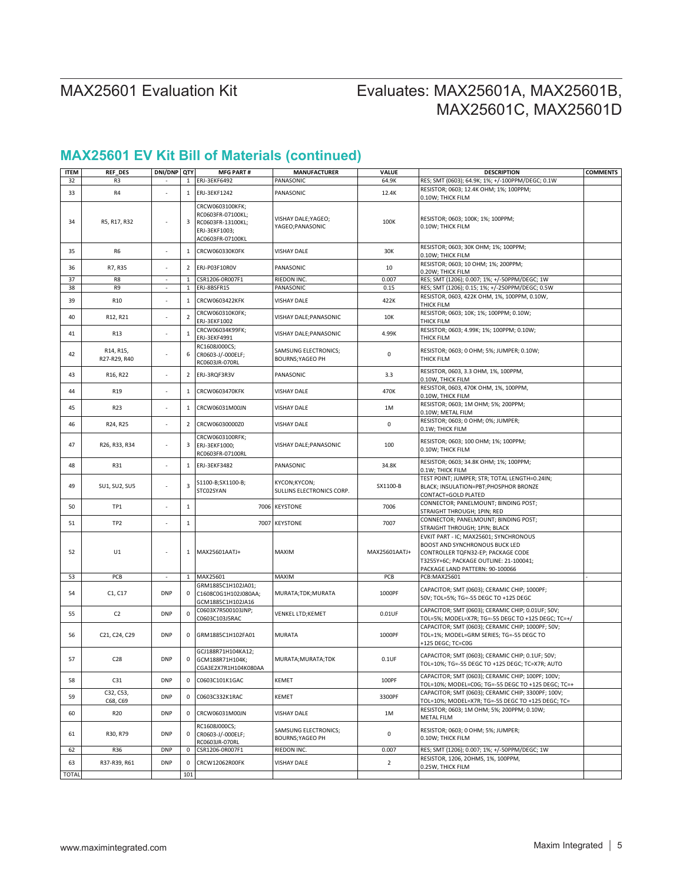# Evaluates: MAX25601A, MAX25601B, MAX25601C, MAX25601D

# **MAX25601 EV Kit Bill of Materials (continued)**

| <b>ITEM</b>  | <b>REF DES</b>                                      | DNI/DNP QTY              |                | <b>MFG PART#</b>                                                                               | <b>MANUFACTURER</b>                             | VALUE          | <b>DESCRIPTION</b>                                                                                                                                                                          | <b>COMMENTS</b> |
|--------------|-----------------------------------------------------|--------------------------|----------------|------------------------------------------------------------------------------------------------|-------------------------------------------------|----------------|---------------------------------------------------------------------------------------------------------------------------------------------------------------------------------------------|-----------------|
| 32           | R3                                                  |                          | $\mathbf{1}$   | ERJ-3EKF6492                                                                                   | PANASONIC                                       | 64.9K          | RES; SMT (0603); 64.9K; 1%; +/-100PPM/DEGC; 0.1W                                                                                                                                            |                 |
| 33           | R4                                                  |                          |                | 1 ERJ-3EKF1242                                                                                 | PANASONIC                                       | 12.4K          | RESISTOR; 0603; 12.4K OHM; 1%; 100PPM;<br>0.10W; THICK FILM                                                                                                                                 |                 |
| 34           | R5, R17, R32                                        |                          | 3              | CRCW0603100KFK;<br>RC0603FR-07100KL;<br>RC0603FR-13100KL;<br>ERJ-3EKF1003;<br>AC0603FR-07100KL | VISHAY DALE; YAGEO;<br>YAGEO; PANASONIC         | 100K           | RESISTOR; 0603; 100K; 1%; 100PPM;<br>0.10W; THICK FILM                                                                                                                                      |                 |
| 35           | R <sub>6</sub>                                      |                          | 1              | CRCW060330K0FK                                                                                 | <b>VISHAY DALE</b>                              | 30K            | RESISTOR; 0603; 30K OHM; 1%; 100PPM;<br>0.10W; THICK FILM                                                                                                                                   |                 |
| 36           | R7, R35                                             |                          | $\overline{2}$ | ERJ-P03F10R0V                                                                                  | PANASONIC                                       | 10             | RESISTOR; 0603; 10 OHM; 1%; 200PPM;<br>0.20W; THICK FILM                                                                                                                                    |                 |
| 37           | R8                                                  |                          | 1              | CSR1206-0R007F1                                                                                | RIEDON INC.                                     | 0.007          | RES; SMT (1206); 0.007; 1%; +/-50PPM/DEGC; 1W                                                                                                                                               |                 |
| 38           | R <sub>9</sub>                                      | $\overline{\phantom{a}}$ | $\mathbf{1}$   | ERJ-8BSFR15                                                                                    | PANASONIC                                       | 0.15           | RES; SMT (1206); 0.15; 1%; +/-250PPM/DEGC; 0.5W                                                                                                                                             |                 |
| 39           | R <sub>10</sub>                                     |                          | 1              | CRCW0603422KFK                                                                                 | VISHAY DALE                                     | 422K           | RESISTOR, 0603, 422K OHM, 1%, 100PPM, 0.10W,<br>THICK FILM                                                                                                                                  |                 |
| 40           | R12, R21                                            | ä,                       | $\overline{2}$ | CRCW060310K0FK;<br>ERJ-3EKF1002                                                                | VISHAY DALE; PANASONIC                          | 10K            | RESISTOR; 0603; 10K; 1%; 100PPM; 0.10W;<br>THICK FILM                                                                                                                                       |                 |
| 41           | R <sub>13</sub>                                     |                          | $\mathbf 1$    | CRCW06034K99FK;<br>ERJ-3EKF4991                                                                | VISHAY DALE; PANASONIC                          | 4.99K          | RESISTOR; 0603; 4.99K; 1%; 100PPM; 0.10W;<br>THICK FILM                                                                                                                                     |                 |
| 42           | R <sub>14</sub> , R <sub>15</sub> ,<br>R27-R29, R40 | ٠                        | 6              | RC1608J000CS;<br>CR0603-J/-000ELF;<br>RC0603JR-070RL                                           | SAMSUNG ELECTRONICS;<br><b>BOURNS; YAGEO PH</b> | 0              | RESISTOR; 0603; 0 OHM; 5%; JUMPER; 0.10W;<br>THICK FILM                                                                                                                                     |                 |
| 43           | R16, R22                                            |                          | $\overline{2}$ | ERJ-3RQF3R3V                                                                                   | PANASONIC                                       | 3.3            | RESISTOR, 0603, 3.3 OHM, 1%, 100PPM,<br>0.10W, THICK FILM                                                                                                                                   |                 |
| 44           | R <sub>19</sub>                                     | J.                       | 1              | CRCW0603470KFK                                                                                 | <b>VISHAY DALE</b>                              | 470K           | RESISTOR, 0603, 470K OHM, 1%, 100PPM,<br>0.10W, THICK FILM                                                                                                                                  |                 |
| 45           | R <sub>23</sub>                                     |                          | 1              | CRCW06031M00JN                                                                                 | <b>VISHAY DALE</b>                              | 1M             | RESISTOR; 0603; 1M OHM; 5%; 200PPM;<br>0.10W; METAL FILM                                                                                                                                    |                 |
| 46           | R24, R25                                            | ä,                       | 2              | CRCW06030000Z0                                                                                 | VISHAY DALE                                     | 0              | RESISTOR; 0603; 0 OHM; 0%; JUMPER;<br>0.1W; THICK FILM                                                                                                                                      |                 |
| 47           | R26, R33, R34                                       |                          | 3              | CRCW0603100RFK;<br>ERJ-3EKF1000;<br>RC0603FR-07100RL                                           | VISHAY DALE; PANASONIC                          | 100            | RESISTOR; 0603; 100 OHM; 1%; 100PPM;<br>0.10W; THICK FILM                                                                                                                                   |                 |
| 48           | R31                                                 | ÷,                       | 1              | ERJ-3EKF3482                                                                                   | PANASONIC                                       | 34.8K          | RESISTOR; 0603; 34.8K OHM; 1%; 100PPM;<br>0.1W; THICK FILM                                                                                                                                  |                 |
| 49           | SU1, SU2, SU5                                       | ٠                        | 3              | S1100-B;SX1100-B;<br>STC02SYAN                                                                 | KYCON;KYCON;<br>SULLINS ELECTRONICS CORP.       | SX1100-B       | TEST POINT; JUMPER; STR; TOTAL LENGTH=0.24IN;<br>BLACK; INSULATION=PBT; PHOSPHOR BRONZE<br>CONTACT=GOLD PLATED                                                                              |                 |
| 50           | TP1                                                 |                          | $\mathbf 1$    |                                                                                                | 7006 KEYSTONE                                   | 7006           | CONNECTOR; PANELMOUNT; BINDING POST;<br>STRAIGHT THROUGH; 1PIN; RED                                                                                                                         |                 |
| 51           | TP <sub>2</sub>                                     | ä,                       | $\,1\,$        |                                                                                                | 7007 KEYSTONE                                   | 7007           | CONNECTOR; PANELMOUNT; BINDING POST;<br>STRAIGHT THROUGH; 1PIN; BLACK                                                                                                                       |                 |
| 52           | U1                                                  | ÷                        | 1              | MAX25601AATJ+                                                                                  | MAXIM                                           | MAX25601AATJ+  | EVKIT PART - IC; MAX25601; SYNCHRONOUS<br>BOOST AND SYNCHRONOUS BUCK LED<br>CONTROLLER TQFN32-EP; PACKAGE CODE<br>T3255Y+6C; PACKAGE OUTLINE: 21-100041;<br>PACKAGE LAND PATTERN: 90-100066 |                 |
| 53           | PCB                                                 |                          | 1              | MAX25601                                                                                       | MAXIM                                           | PCB            | PCB:MAX25601                                                                                                                                                                                |                 |
| 54           | C1, C17                                             | <b>DNP</b>               | 0              | GRM1885C1H102JA01;<br>C1608C0G1H102J080AA;<br>GCM1885C1H102JA16                                | MURATA;TDK;MURATA                               | 1000PF         | CAPACITOR; SMT (0603); CERAMIC CHIP; 1000PF;<br>50V; TOL=5%; TG=-55 DEGC TO +125 DEGC                                                                                                       |                 |
| 55           | C <sub>2</sub>                                      | <b>DNP</b>               | 0              | C0603X7R500103JNP;<br>C0603C103J5RAC                                                           | VENKEL LTD; KEMET                               | $0.01$ UF      | CAPACITOR; SMT (0603); CERAMIC CHIP; 0.01UF; 50V;<br>TOL=5%; MODEL=X7R; TG=-55 DEGC TO +125 DEGC; TC=+/                                                                                     |                 |
| 56           | C21, C24, C29                                       | <b>DNP</b>               |                | 0 GRM1885C1H102FA01                                                                            | <b>MURATA</b>                                   | 1000PF         | CAPACITOR; SMT (0603); CERAMIC CHIP; 1000PF; 50V;<br>TOL=1%; MODEL=GRM SERIES; TG=-55 DEGC TO<br>+125 DEGC; TC=C0G                                                                          |                 |
| 57           | C <sub>28</sub>                                     | <b>DNP</b>               |                | GCJ188R71H104KA12;<br>0 GCM188R71H104K;<br>CGA3E2X7R1H104K080AA                                | MURATA; MURATA; TDK                             | $0.1$ UF       | CAPACITOR; SMT (0603); CERAMIC CHIP; 0.1UF; 50V;<br>TOL=10%; TG=-55 DEGC TO +125 DEGC; TC=X7R; AUTO                                                                                         |                 |
| 58           | C31                                                 | <b>DNP</b>               | 0              | C0603C101K1GAC                                                                                 | KEMET                                           | 100PF          | CAPACITOR; SMT (0603); CERAMIC CHIP; 100PF; 100V;<br>TOL=10%; MODEL=C0G; TG=-55 DEGC TO +125 DEGC; TC=+                                                                                     |                 |
| 59           | C32, C53,<br>C68, C69                               | <b>DNP</b>               | 0              | C0603C332K1RAC                                                                                 | KEMET                                           | 3300PF         | CAPACITOR; SMT (0603); CERAMIC CHIP; 3300PF; 100V;<br>TOL=10%; MODEL=X7R; TG=-55 DEGC TO +125 DEGC; TC=                                                                                     |                 |
| 60           | R20                                                 | <b>DNP</b>               | $\mathbf{0}$   | CRCW06031M00JN                                                                                 | <b>VISHAY DALE</b>                              | 1M             | RESISTOR; 0603; 1M OHM; 5%; 200PPM; 0.10W;<br>METAL FILM                                                                                                                                    |                 |
| 61           | R30, R79                                            | <b>DNP</b>               | 0              | RC1608J000CS;<br>CR0603-J/-000ELF;<br>RC0603JR-070RL                                           | SAMSUNG ELECTRONICS;<br><b>BOURNS; YAGEO PH</b> | 0              | RESISTOR; 0603; 0 OHM; 5%; JUMPER;<br>0.10W; THICK FILM                                                                                                                                     |                 |
| 62           | R36                                                 | <b>DNP</b>               | 0              | CSR1206-0R007F1                                                                                | RIEDON INC.                                     | 0.007          | RES; SMT (1206); 0.007; 1%; +/-50PPM/DEGC; 1W                                                                                                                                               |                 |
| 63           | R37-R39, R61                                        | <b>DNP</b>               | 0              | CRCW12062R00FK                                                                                 | <b>VISHAY DALE</b>                              | $\overline{2}$ | RESISTOR, 1206, 2OHMS, 1%, 100PPM,<br>0.25W, THICK FILM                                                                                                                                     |                 |
| <b>TOTAL</b> |                                                     |                          | 101            |                                                                                                |                                                 |                |                                                                                                                                                                                             |                 |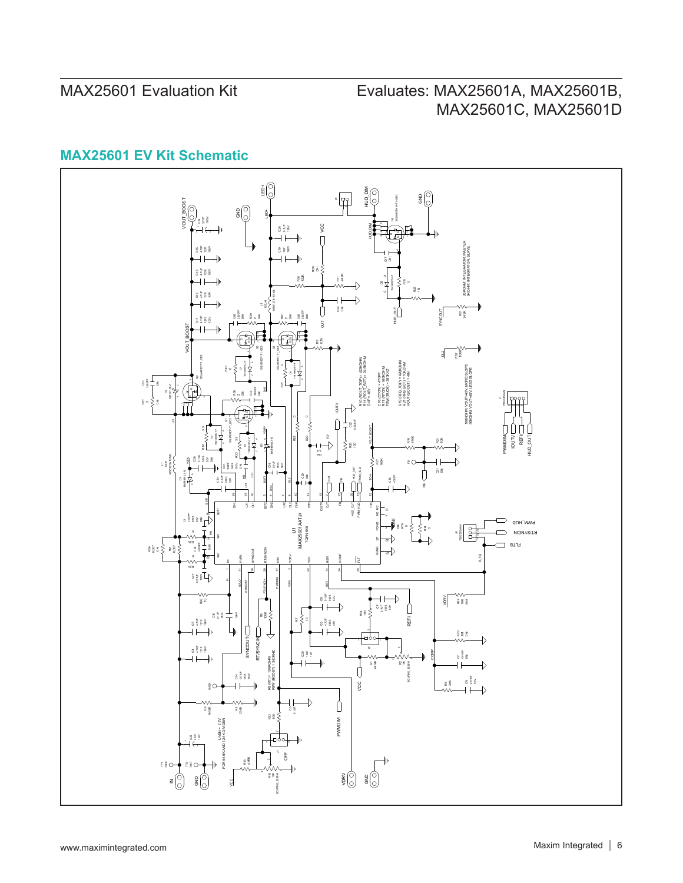# Evaluates: MAX25601A, MAX25601B, MAX25601C, MAX25601D

## **MAX25601 EV Kit Schematic**

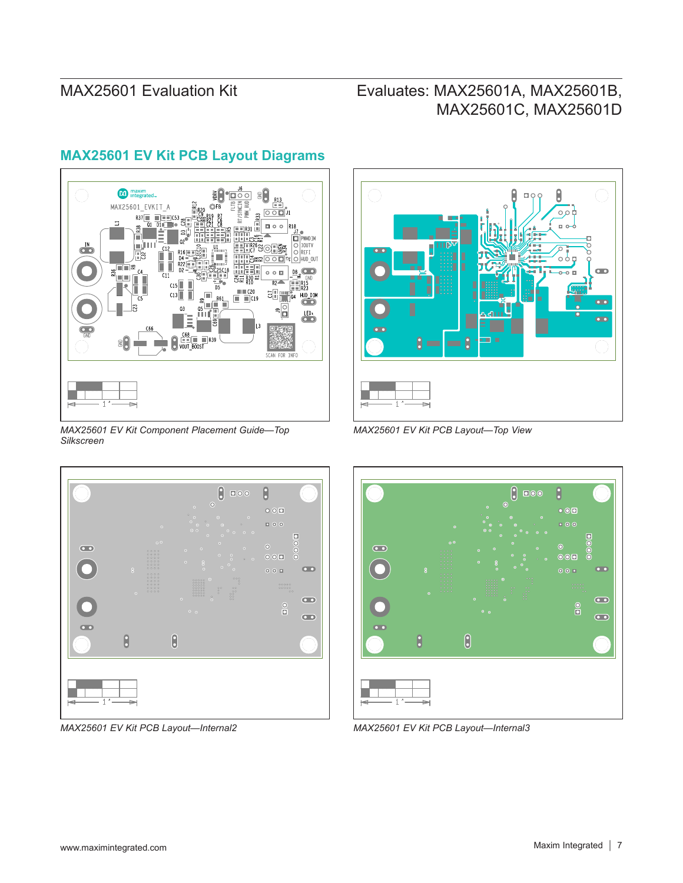# Evaluates: MAX25601A, MAX25601B, MAX25601C, MAX25601D



## **MAX25601 EV Kit PCB Layout Diagrams**



*MAX25601 EV Kit Component Placement Guide—Top Silkscreen*







*MAX25601 EV Kit PCB Layout—Internal2 MAX25601 EV Kit PCB Layout—Internal3*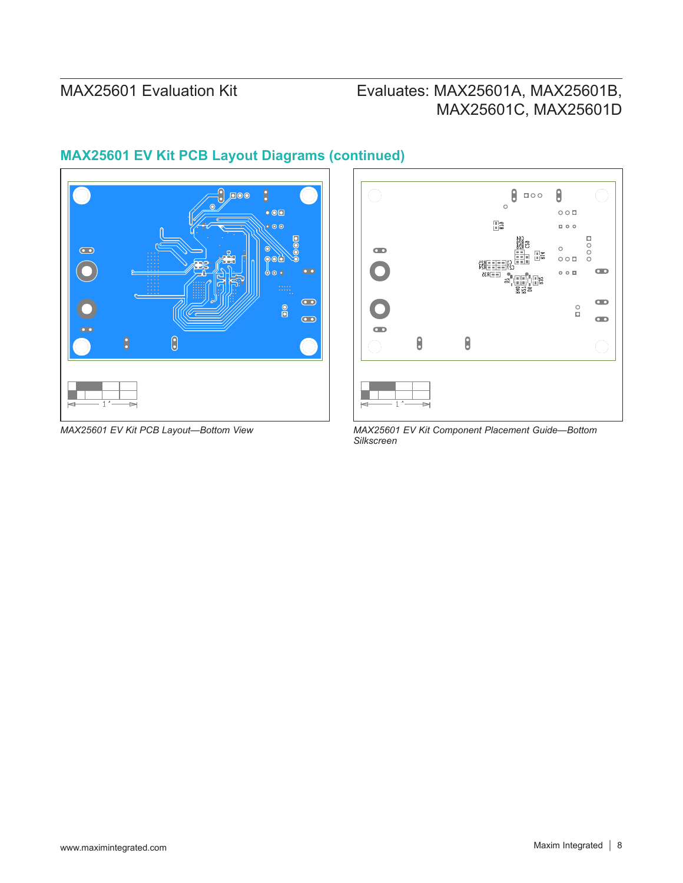# Evaluates: MAX25601A, MAX25601B, MAX25601C, MAX25601D



# **MAX25601 EV Kit PCB Layout Diagrams (continued)**



*MAX25601 EV Kit PCB Layout—Bottom View MAX25601 EV Kit Component Placement Guide—Bottom Silkscreen*